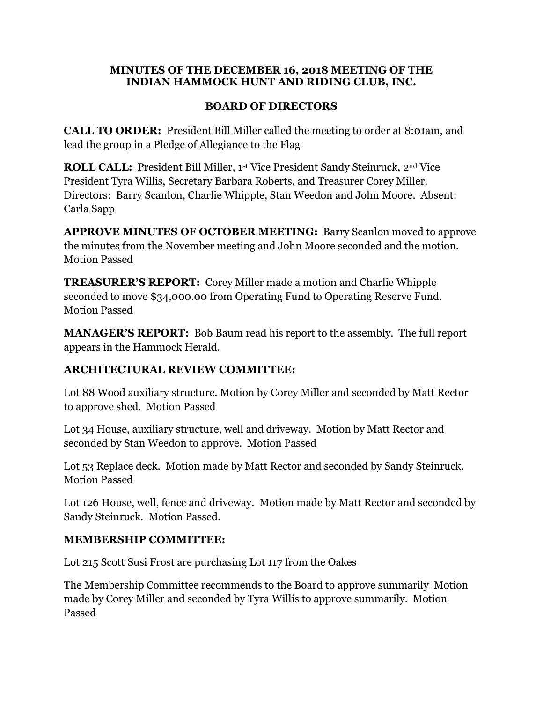#### **MINUTES OF THE DECEMBER 16, 2018 MEETING OF THE INDIAN HAMMOCK HUNT AND RIDING CLUB, INC.**

## **BOARD OF DIRECTORS**

**CALL TO ORDER:** President Bill Miller called the meeting to order at 8:01am, and lead the group in a Pledge of Allegiance to the Flag

**ROLL CALL:** President Bill Miller, 1<sup>st</sup> Vice President Sandy Steinruck, 2<sup>nd</sup> Vice President Tyra Willis, Secretary Barbara Roberts, and Treasurer Corey Miller. Directors: Barry Scanlon, Charlie Whipple, Stan Weedon and John Moore. Absent: Carla Sapp

**APPROVE MINUTES OF OCTOBER MEETING:** Barry Scanlon moved to approve the minutes from the November meeting and John Moore seconded and the motion. Motion Passed

**TREASURER'S REPORT:** Corey Miller made a motion and Charlie Whipple seconded to move \$34,000.00 from Operating Fund to Operating Reserve Fund. Motion Passed

**MANAGER'S REPORT:** Bob Baum read his report to the assembly. The full report appears in the Hammock Herald.

# **ARCHITECTURAL REVIEW COMMITTEE:**

Lot 88 Wood auxiliary structure. Motion by Corey Miller and seconded by Matt Rector to approve shed. Motion Passed

Lot 34 House, auxiliary structure, well and driveway. Motion by Matt Rector and seconded by Stan Weedon to approve. Motion Passed

Lot 53 Replace deck. Motion made by Matt Rector and seconded by Sandy Steinruck. Motion Passed

Lot 126 House, well, fence and driveway. Motion made by Matt Rector and seconded by Sandy Steinruck. Motion Passed.

## **MEMBERSHIP COMMITTEE:**

Lot 215 Scott Susi Frost are purchasing Lot 117 from the Oakes

The Membership Committee recommends to the Board to approve summarily Motion made by Corey Miller and seconded by Tyra Willis to approve summarily. Motion Passed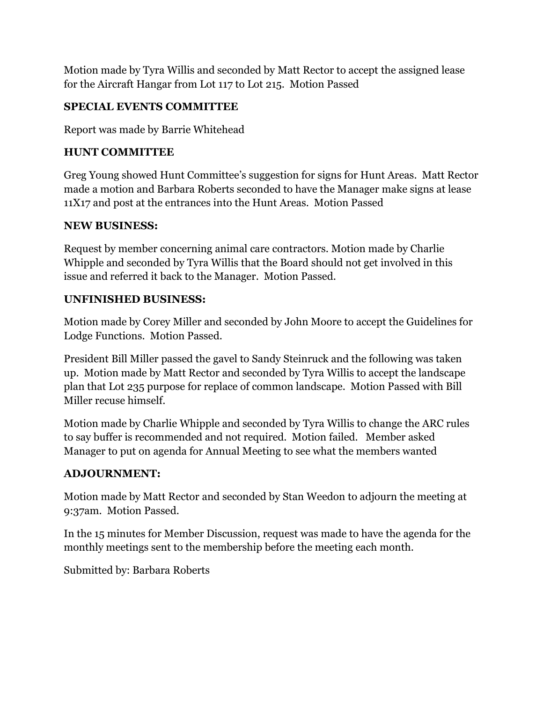Motion made by Tyra Willis and seconded by Matt Rector to accept the assigned lease for the Aircraft Hangar from Lot 117 to Lot 215. Motion Passed

# **SPECIAL EVENTS COMMITTEE**

Report was made by Barrie Whitehead

# **HUNT COMMITTEE**

Greg Young showed Hunt Committee's suggestion for signs for Hunt Areas. Matt Rector made a motion and Barbara Roberts seconded to have the Manager make signs at lease 11X17 and post at the entrances into the Hunt Areas. Motion Passed

# **NEW BUSINESS:**

Request by member concerning animal care contractors. Motion made by Charlie Whipple and seconded by Tyra Willis that the Board should not get involved in this issue and referred it back to the Manager. Motion Passed.

# **UNFINISHED BUSINESS:**

Motion made by Corey Miller and seconded by John Moore to accept the Guidelines for Lodge Functions. Motion Passed.

President Bill Miller passed the gavel to Sandy Steinruck and the following was taken up. Motion made by Matt Rector and seconded by Tyra Willis to accept the landscape plan that Lot 235 purpose for replace of common landscape. Motion Passed with Bill Miller recuse himself.

Motion made by Charlie Whipple and seconded by Tyra Willis to change the ARC rules to say buffer is recommended and not required. Motion failed. Member asked Manager to put on agenda for Annual Meeting to see what the members wanted

# **ADJOURNMENT:**

Motion made by Matt Rector and seconded by Stan Weedon to adjourn the meeting at 9:37am. Motion Passed.

In the 15 minutes for Member Discussion, request was made to have the agenda for the monthly meetings sent to the membership before the meeting each month.

Submitted by: Barbara Roberts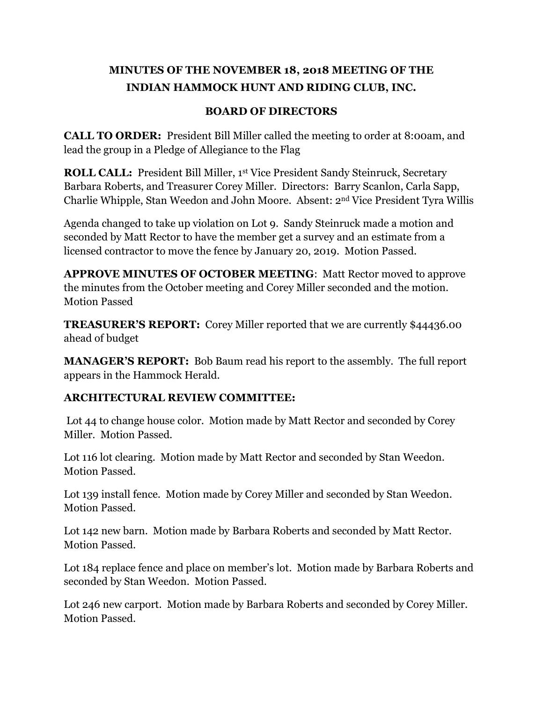# **MINUTES OF THE NOVEMBER 18, 2018 MEETING OF THE INDIAN HAMMOCK HUNT AND RIDING CLUB, INC.**

## **BOARD OF DIRECTORS**

**CALL TO ORDER:** President Bill Miller called the meeting to order at 8:00am, and lead the group in a Pledge of Allegiance to the Flag

**ROLL CALL:** President Bill Miller, 1st Vice President Sandy Steinruck, Secretary Barbara Roberts, and Treasurer Corey Miller. Directors: Barry Scanlon, Carla Sapp, Charlie Whipple, Stan Weedon and John Moore. Absent: 2nd Vice President Tyra Willis

Agenda changed to take up violation on Lot 9. Sandy Steinruck made a motion and seconded by Matt Rector to have the member get a survey and an estimate from a licensed contractor to move the fence by January 20, 2019. Motion Passed.

**APPROVE MINUTES OF OCTOBER MEETING**: Matt Rector moved to approve the minutes from the October meeting and Corey Miller seconded and the motion. Motion Passed

**TREASURER'S REPORT:** Corey Miller reported that we are currently \$44436.00 ahead of budget

**MANAGER'S REPORT:** Bob Baum read his report to the assembly. The full report appears in the Hammock Herald.

## **ARCHITECTURAL REVIEW COMMITTEE:**

Lot 44 to change house color. Motion made by Matt Rector and seconded by Corey Miller. Motion Passed.

Lot 116 lot clearing. Motion made by Matt Rector and seconded by Stan Weedon. Motion Passed.

Lot 139 install fence. Motion made by Corey Miller and seconded by Stan Weedon. Motion Passed.

Lot 142 new barn. Motion made by Barbara Roberts and seconded by Matt Rector. Motion Passed.

Lot 184 replace fence and place on member's lot. Motion made by Barbara Roberts and seconded by Stan Weedon. Motion Passed.

Lot 246 new carport. Motion made by Barbara Roberts and seconded by Corey Miller. Motion Passed.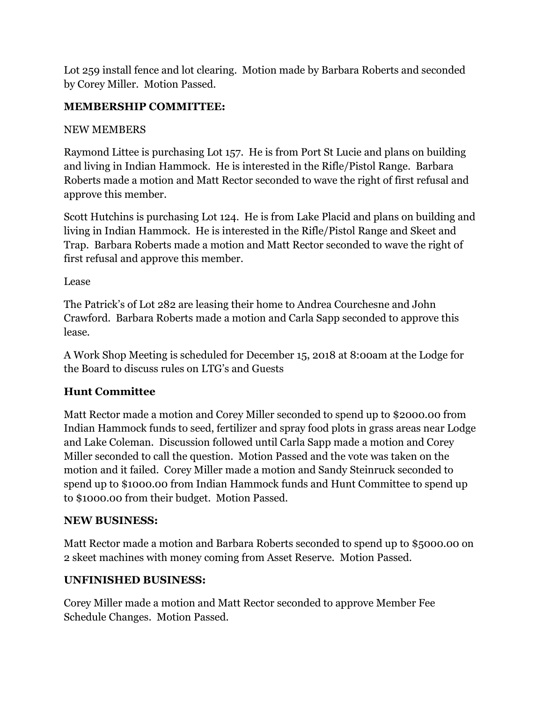Lot 259 install fence and lot clearing. Motion made by Barbara Roberts and seconded by Corey Miller. Motion Passed.

# **MEMBERSHIP COMMITTEE:**

# NEW MEMBERS

Raymond Littee is purchasing Lot 157. He is from Port St Lucie and plans on building and living in Indian Hammock. He is interested in the Rifle/Pistol Range. Barbara Roberts made a motion and Matt Rector seconded to wave the right of first refusal and approve this member.

Scott Hutchins is purchasing Lot 124. He is from Lake Placid and plans on building and living in Indian Hammock. He is interested in the Rifle/Pistol Range and Skeet and Trap. Barbara Roberts made a motion and Matt Rector seconded to wave the right of first refusal and approve this member.

Lease

The Patrick's of Lot 282 are leasing their home to Andrea Courchesne and John Crawford. Barbara Roberts made a motion and Carla Sapp seconded to approve this lease.

A Work Shop Meeting is scheduled for December 15, 2018 at 8:00am at the Lodge for the Board to discuss rules on LTG's and Guests

# **Hunt Committee**

Matt Rector made a motion and Corey Miller seconded to spend up to \$2000.00 from Indian Hammock funds to seed, fertilizer and spray food plots in grass areas near Lodge and Lake Coleman. Discussion followed until Carla Sapp made a motion and Corey Miller seconded to call the question. Motion Passed and the vote was taken on the motion and it failed. Corey Miller made a motion and Sandy Steinruck seconded to spend up to \$1000.00 from Indian Hammock funds and Hunt Committee to spend up to \$1000.00 from their budget. Motion Passed.

# **NEW BUSINESS:**

Matt Rector made a motion and Barbara Roberts seconded to spend up to \$5000.00 on 2 skeet machines with money coming from Asset Reserve. Motion Passed.

# **UNFINISHED BUSINESS:**

Corey Miller made a motion and Matt Rector seconded to approve Member Fee Schedule Changes. Motion Passed.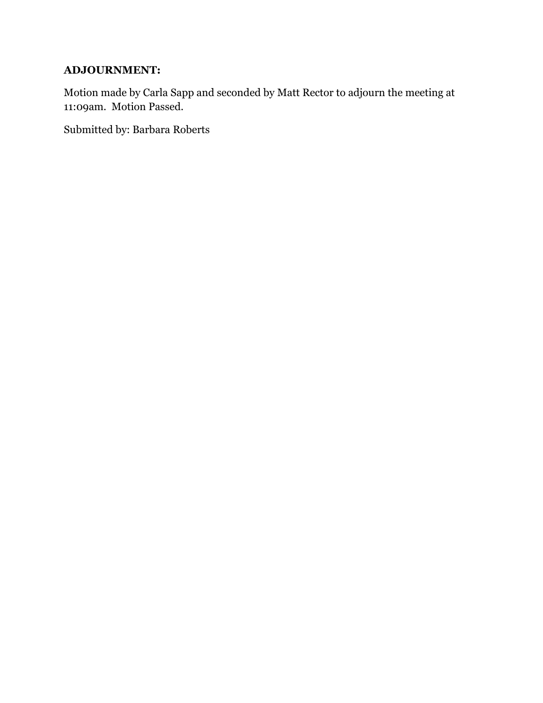# **ADJOURNMENT:**

Motion made by Carla Sapp and seconded by Matt Rector to adjourn the meeting at 11:09am. Motion Passed.

Submitted by: Barbara Roberts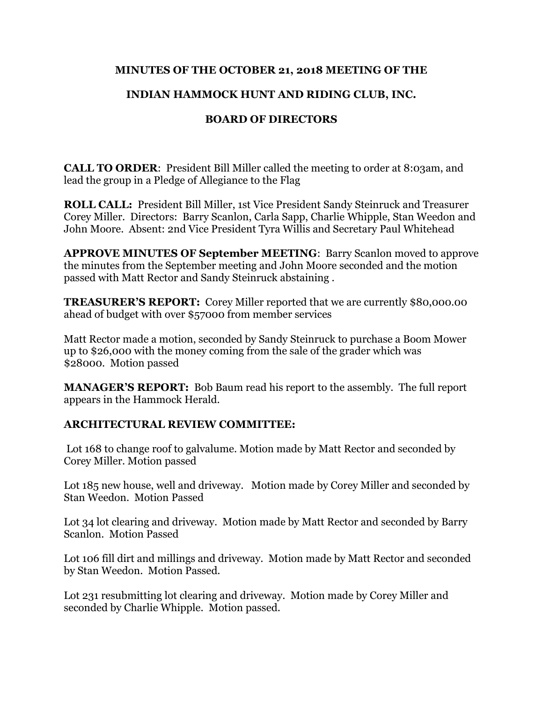### **MINUTES OF THE OCTOBER 21, 2018 MEETING OF THE**

## **INDIAN HAMMOCK HUNT AND RIDING CLUB, INC.**

## **BOARD OF DIRECTORS**

**CALL TO ORDER:** President Bill Miller called the meeting to order at 8:03am, and lead the group in a Pledge of Allegiance to the Flag

**ROLL CALL:** President Bill Miller, 1st Vice President Sandy Steinruck and Treasurer Corey Miller. Directors: Barry Scanlon, Carla Sapp, Charlie Whipple, Stan Weedon and John Moore. Absent: 2nd Vice President Tyra Willis and Secretary Paul Whitehead

**APPROVE MINUTES OF September MEETING**: Barry Scanlon moved to approve the minutes from the September meeting and John Moore seconded and the motion passed with Matt Rector and Sandy Steinruck abstaining .

**TREASURER'S REPORT:** Corey Miller reported that we are currently \$80,000.00 ahead of budget with over \$57000 from member services

Matt Rector made a motion, seconded by Sandy Steinruck to purchase a Boom Mower up to \$26,000 with the money coming from the sale of the grader which was \$28000. Motion passed

**MANAGER'S REPORT:** Bob Baum read his report to the assembly. The full report appears in the Hammock Herald.

## **ARCHITECTURAL REVIEW COMMITTEE:**

Lot 168 to change roof to galvalume. Motion made by Matt Rector and seconded by Corey Miller. Motion passed

Lot 185 new house, well and driveway. Motion made by Corey Miller and seconded by Stan Weedon. Motion Passed

Lot 34 lot clearing and driveway. Motion made by Matt Rector and seconded by Barry Scanlon. Motion Passed

Lot 106 fill dirt and millings and driveway. Motion made by Matt Rector and seconded by Stan Weedon. Motion Passed.

Lot 231 resubmitting lot clearing and driveway. Motion made by Corey Miller and seconded by Charlie Whipple. Motion passed.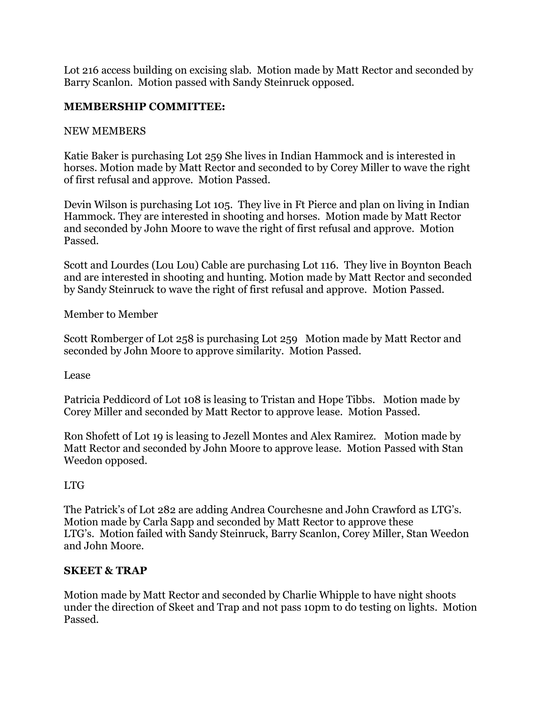Lot 216 access building on excising slab. Motion made by Matt Rector and seconded by Barry Scanlon. Motion passed with Sandy Steinruck opposed.

## **MEMBERSHIP COMMITTEE:**

## NEW MEMBERS

Katie Baker is purchasing Lot 259 She lives in Indian Hammock and is interested in horses. Motion made by Matt Rector and seconded to by Corey Miller to wave the right of first refusal and approve. Motion Passed.

Devin Wilson is purchasing Lot 105. They live in Ft Pierce and plan on living in Indian Hammock. They are interested in shooting and horses. Motion made by Matt Rector and seconded by John Moore to wave the right of first refusal and approve. Motion Passed.

Scott and Lourdes (Lou Lou) Cable are purchasing Lot 116. They live in Boynton Beach and are interested in shooting and hunting. Motion made by Matt Rector and seconded by Sandy Steinruck to wave the right of first refusal and approve. Motion Passed.

Member to Member

Scott Romberger of Lot 258 is purchasing Lot 259 Motion made by Matt Rector and seconded by John Moore to approve similarity. Motion Passed.

Lease

Patricia Peddicord of Lot 108 is leasing to Tristan and Hope Tibbs. Motion made by Corey Miller and seconded by Matt Rector to approve lease. Motion Passed.

Ron Shofett of Lot 19 is leasing to Jezell Montes and Alex Ramirez. Motion made by Matt Rector and seconded by John Moore to approve lease. Motion Passed with Stan Weedon opposed.

## LTG

The Patrick's of Lot 282 are adding Andrea Courchesne and John Crawford as LTG's. Motion made by Carla Sapp and seconded by Matt Rector to approve these LTG's. Motion failed with Sandy Steinruck, Barry Scanlon, Corey Miller, Stan Weedon and John Moore.

## **SKEET & TRAP**

Motion made by Matt Rector and seconded by Charlie Whipple to have night shoots under the direction of Skeet and Trap and not pass 10pm to do testing on lights. Motion Passed.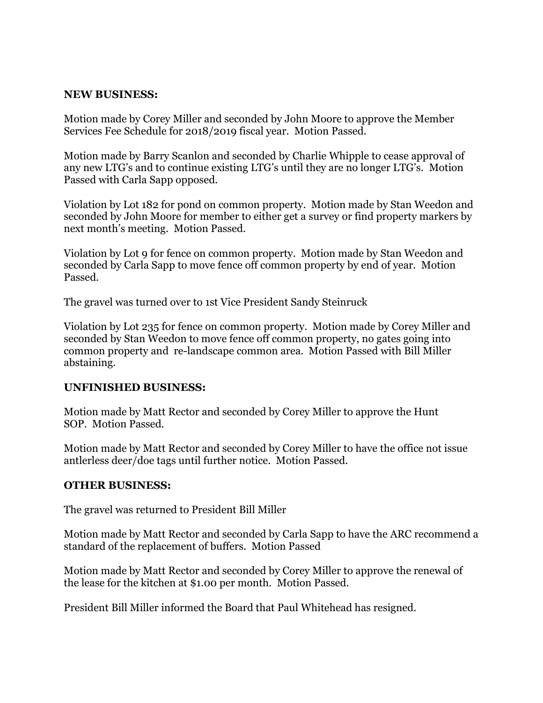#### **NEW BUSINESS:**

Motion made by Corey Miller and seconded by John Moore to approve the Member Services Fee Schedule for 2018/2019 fiscal year. Motion Passed.

Motion made by Barry Scanlon and seconded by Charlie Whipple to cease approval of any new LTG's and to continue existing LTG's until they are no longer LTG's. Motion Passed with Carla Sapp opposed.

Violation by Lot 182 for pond on common property. Motion made by Stan Weedon and seconded by John Moore for member to either get a survey or find property markers by next month's meeting. Motion Passed.

Violation by Lot 9 for fence on common property. Motion made by Stan Weedon and seconded by Carla Sapp to move fence off common property by end of year. Motion Passed.

The gravel was turned over to 1st Vice President Sandy Steinruck

Violation by Lot 235 for fence on common property. Motion made by Corey Miller and seconded by Stan Weedon to move fence off common property, no gates going into common property and re-landscape common area. Motion Passed with Bill Miller abstaining.

#### **UNFINISHED BUSINESS:**

Motion made by Matt Rector and seconded by Corey Miller to approve the Hunt SOP. Motion Passed.

Motion made by Matt Rector and seconded by Corey Miller to have the office not issue antlerless deer/doe tags until further notice. Motion Passed.

#### **OTHER BUSINESS:**

The gravel was returned to President Bill Miller

Motion made by Matt Rector and seconded by Carla Sapp to have the ARC recommend a standard of the replacement of buffers. Motion Passed

Motion made by Matt Rector and seconded by Corey Miller to approve the renewal of the lease for the kitchen at \$1.00 per month. Motion Passed.

President Bill Miller informed the Board that Paul Whitehead has resigned.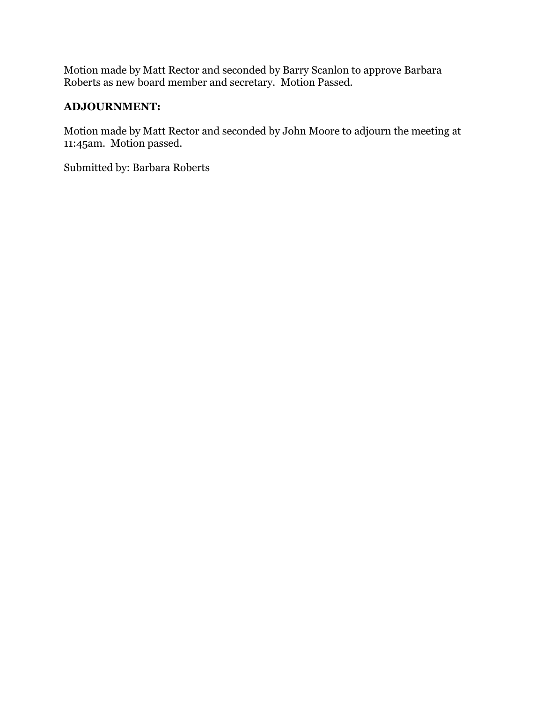Motion made by Matt Rector and seconded by Barry Scanlon to approve Barbara Roberts as new board member and secretary. Motion Passed.

## **ADJOURNMENT:**

Motion made by Matt Rector and seconded by John Moore to adjourn the meeting at 11:45am. Motion passed.

Submitted by: Barbara Roberts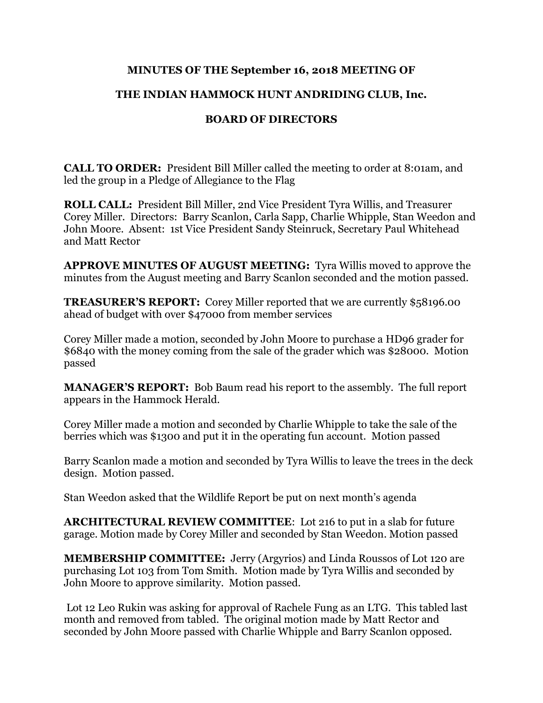## **MINUTES OF THE September 16, 2018 MEETING OF**

## **THE INDIAN HAMMOCK HUNT ANDRIDING CLUB, Inc.**

## **BOARD OF DIRECTORS**

**CALL TO ORDER:** President Bill Miller called the meeting to order at 8:01am, and led the group in a Pledge of Allegiance to the Flag

**ROLL CALL:** President Bill Miller, 2nd Vice President Tyra Willis, and Treasurer Corey Miller. Directors: Barry Scanlon, Carla Sapp, Charlie Whipple, Stan Weedon and John Moore. Absent: 1st Vice President Sandy Steinruck, Secretary Paul Whitehead and Matt Rector

**APPROVE MINUTES OF AUGUST MEETING:** Tyra Willis moved to approve the minutes from the August meeting and Barry Scanlon seconded and the motion passed.

**TREASURER'S REPORT:** Corey Miller reported that we are currently \$58196.00 ahead of budget with over \$47000 from member services

Corey Miller made a motion, seconded by John Moore to purchase a HD96 grader for \$6840 with the money coming from the sale of the grader which was \$28000. Motion passed

**MANAGER'S REPORT:** Bob Baum read his report to the assembly. The full report appears in the Hammock Herald.

Corey Miller made a motion and seconded by Charlie Whipple to take the sale of the berries which was \$1300 and put it in the operating fun account. Motion passed

Barry Scanlon made a motion and seconded by Tyra Willis to leave the trees in the deck design. Motion passed.

Stan Weedon asked that the Wildlife Report be put on next month's agenda

**ARCHITECTURAL REVIEW COMMITTEE**: Lot 216 to put in a slab for future garage. Motion made by Corey Miller and seconded by Stan Weedon. Motion passed

**MEMBERSHIP COMMITTEE:** Jerry (Argyrios) and Linda Roussos of Lot 120 are purchasing Lot 103 from Tom Smith. Motion made by Tyra Willis and seconded by John Moore to approve similarity. Motion passed.

Lot 12 Leo Rukin was asking for approval of Rachele Fung as an LTG. This tabled last month and removed from tabled. The original motion made by Matt Rector and seconded by John Moore passed with Charlie Whipple and Barry Scanlon opposed.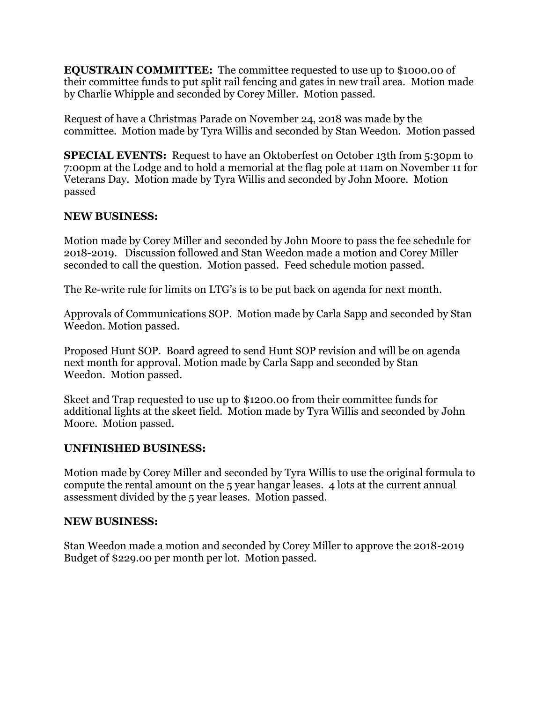**EQUSTRAIN COMMITTEE:** The committee requested to use up to \$1000.00 of their committee funds to put split rail fencing and gates in new trail area. Motion made by Charlie Whipple and seconded by Corey Miller. Motion passed.

Request of have a Christmas Parade on November 24, 2018 was made by the committee. Motion made by Tyra Willis and seconded by Stan Weedon. Motion passed

**SPECIAL EVENTS:** Request to have an Oktoberfest on October 13th from 5:30pm to 7:00pm at the Lodge and to hold a memorial at the flag pole at 11am on November 11 for Veterans Day. Motion made by Tyra Willis and seconded by John Moore. Motion passed

#### **NEW BUSINESS:**

Motion made by Corey Miller and seconded by John Moore to pass the fee schedule for 2018-2019. Discussion followed and Stan Weedon made a motion and Corey Miller seconded to call the question. Motion passed. Feed schedule motion passed.

The Re-write rule for limits on LTG's is to be put back on agenda for next month.

Approvals of Communications SOP. Motion made by Carla Sapp and seconded by Stan Weedon. Motion passed.

Proposed Hunt SOP. Board agreed to send Hunt SOP revision and will be on agenda next month for approval. Motion made by Carla Sapp and seconded by Stan Weedon. Motion passed.

Skeet and Trap requested to use up to \$1200.00 from their committee funds for additional lights at the skeet field. Motion made by Tyra Willis and seconded by John Moore. Motion passed.

## **UNFINISHED BUSINESS:**

Motion made by Corey Miller and seconded by Tyra Willis to use the original formula to compute the rental amount on the 5 year hangar leases. 4 lots at the current annual assessment divided by the 5 year leases. Motion passed.

#### **NEW BUSINESS:**

Stan Weedon made a motion and seconded by Corey Miller to approve the 2018-2019 Budget of \$229.00 per month per lot. Motion passed.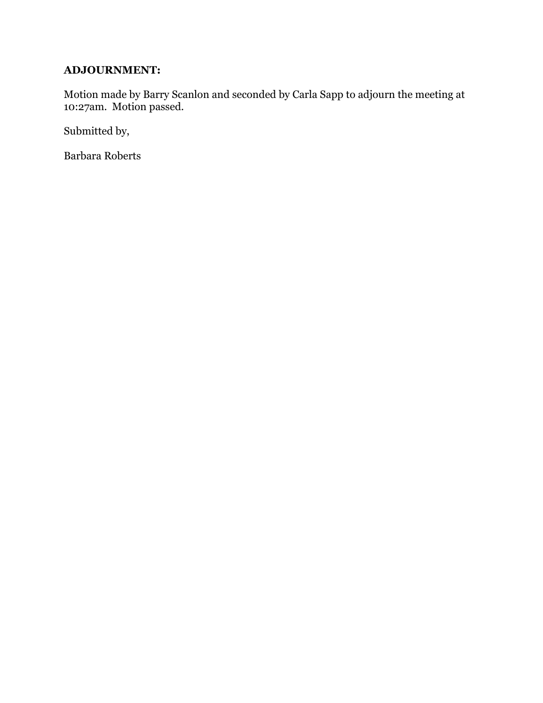# **ADJOURNMENT:**

Motion made by Barry Scanlon and seconded by Carla Sapp to adjourn the meeting at 10:27am. Motion passed.

Submitted by,

Barbara Roberts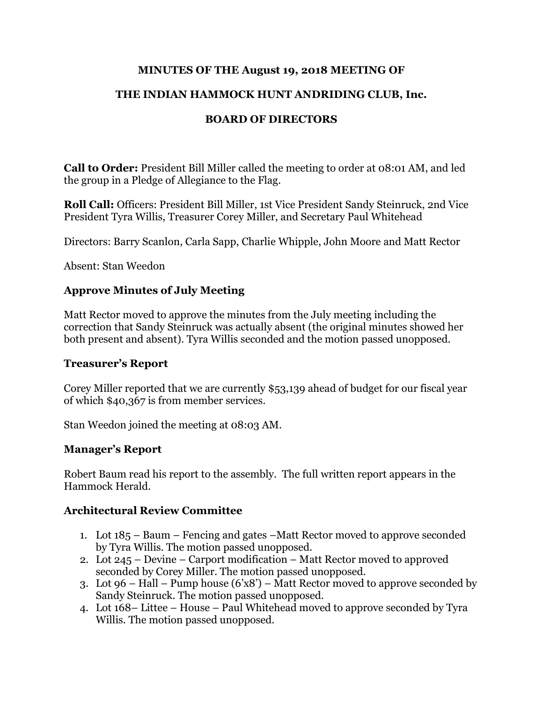### **MINUTES OF THE August 19, 2018 MEETING OF**

## **THE INDIAN HAMMOCK HUNT ANDRIDING CLUB, Inc.**

## **BOARD OF DIRECTORS**

**Call to Order:** President Bill Miller called the meeting to order at 08:01 AM, and led the group in a Pledge of Allegiance to the Flag.

**Roll Call:** Officers: President Bill Miller, 1st Vice President Sandy Steinruck, 2nd Vice President Tyra Willis, Treasurer Corey Miller, and Secretary Paul Whitehead

Directors: Barry Scanlon, Carla Sapp, Charlie Whipple, John Moore and Matt Rector

Absent: Stan Weedon

### **Approve Minutes of July Meeting**

Matt Rector moved to approve the minutes from the July meeting including the correction that Sandy Steinruck was actually absent (the original minutes showed her both present and absent). Tyra Willis seconded and the motion passed unopposed.

#### **Treasurer's Report**

Corey Miller reported that we are currently \$53,139 ahead of budget for our fiscal year of which \$40,367 is from member services.

Stan Weedon joined the meeting at 08:03 AM.

#### **Manager's Report**

Robert Baum read his report to the assembly. The full written report appears in the Hammock Herald.

#### **Architectural Review Committee**

- 1. Lot 185 Baum Fencing and gates –Matt Rector moved to approve seconded by Tyra Willis. The motion passed unopposed.
- 2. Lot 245 Devine Carport modification Matt Rector moved to approved seconded by Corey Miller. The motion passed unopposed.
- 3. Lot 96 Hall Pump house  $(6'x8')$  Matt Rector moved to approve seconded by Sandy Steinruck. The motion passed unopposed.
- 4. Lot 168– Littee House Paul Whitehead moved to approve seconded by Tyra Willis. The motion passed unopposed.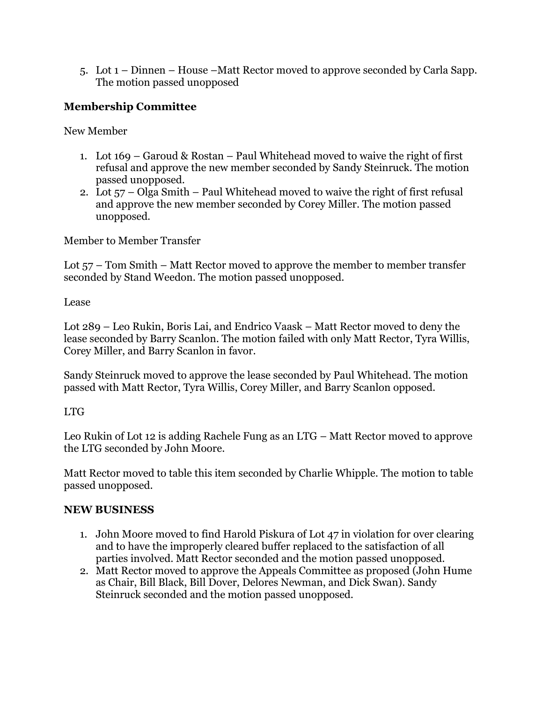5. Lot 1 – Dinnen – House –Matt Rector moved to approve seconded by Carla Sapp. The motion passed unopposed

# **Membership Committee**

New Member

- 1. Lot 169 Garoud & Rostan Paul Whitehead moved to waive the right of first refusal and approve the new member seconded by Sandy Steinruck. The motion passed unopposed.
- 2. Lot 57 Olga Smith Paul Whitehead moved to waive the right of first refusal and approve the new member seconded by Corey Miller. The motion passed unopposed.

Member to Member Transfer

Lot 57 – Tom Smith – Matt Rector moved to approve the member to member transfer seconded by Stand Weedon. The motion passed unopposed.

Lease

Lot 289 – Leo Rukin, Boris Lai, and Endrico Vaask – Matt Rector moved to deny the lease seconded by Barry Scanlon. The motion failed with only Matt Rector, Tyra Willis, Corey Miller, and Barry Scanlon in favor.

Sandy Steinruck moved to approve the lease seconded by Paul Whitehead. The motion passed with Matt Rector, Tyra Willis, Corey Miller, and Barry Scanlon opposed.

## LTG

Leo Rukin of Lot 12 is adding Rachele Fung as an LTG – Matt Rector moved to approve the LTG seconded by John Moore.

Matt Rector moved to table this item seconded by Charlie Whipple. The motion to table passed unopposed.

## **NEW BUSINESS**

- 1. John Moore moved to find Harold Piskura of Lot 47 in violation for over clearing and to have the improperly cleared buffer replaced to the satisfaction of all parties involved. Matt Rector seconded and the motion passed unopposed.
- 2. Matt Rector moved to approve the Appeals Committee as proposed (John Hume as Chair, Bill Black, Bill Dover, Delores Newman, and Dick Swan). Sandy Steinruck seconded and the motion passed unopposed.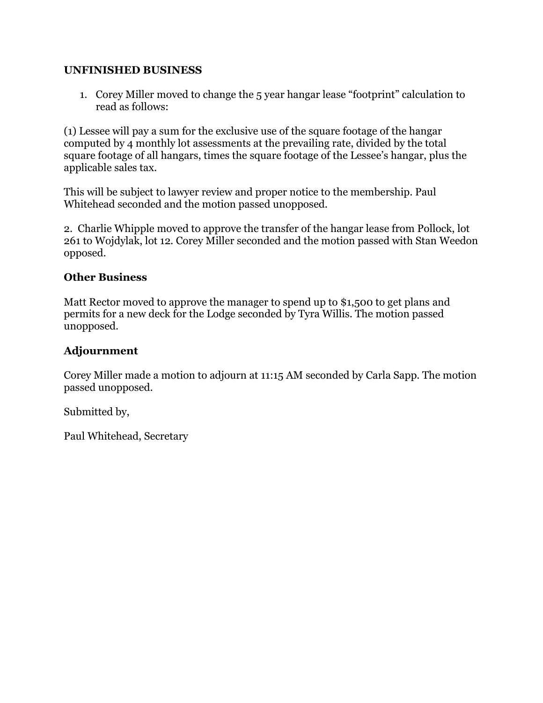#### **UNFINISHED BUSINESS**

1. Corey Miller moved to change the 5 year hangar lease "footprint" calculation to read as follows:

(1) Lessee will pay a sum for the exclusive use of the square footage of the hangar computed by 4 monthly lot assessments at the prevailing rate, divided by the total square footage of all hangars, times the square footage of the Lessee's hangar, plus the applicable sales tax.

This will be subject to lawyer review and proper notice to the membership. Paul Whitehead seconded and the motion passed unopposed.

2. Charlie Whipple moved to approve the transfer of the hangar lease from Pollock, lot 261 to Wojdylak, lot 12. Corey Miller seconded and the motion passed with Stan Weedon opposed.

### **Other Business**

Matt Rector moved to approve the manager to spend up to \$1,500 to get plans and permits for a new deck for the Lodge seconded by Tyra Willis. The motion passed unopposed.

## **Adjournment**

Corey Miller made a motion to adjourn at 11:15 AM seconded by Carla Sapp. The motion passed unopposed.

Submitted by,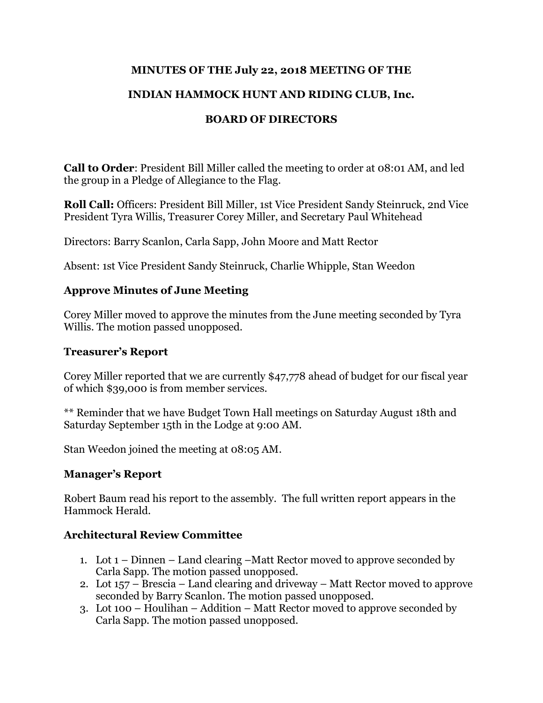## **MINUTES OF THE July 22, 2018 MEETING OF THE**

## **INDIAN HAMMOCK HUNT AND RIDING CLUB, Inc.**

## **BOARD OF DIRECTORS**

**Call to Order**: President Bill Miller called the meeting to order at 08:01 AM, and led the group in a Pledge of Allegiance to the Flag.

**Roll Call:** Officers: President Bill Miller, 1st Vice President Sandy Steinruck, 2nd Vice President Tyra Willis, Treasurer Corey Miller, and Secretary Paul Whitehead

Directors: Barry Scanlon, Carla Sapp, John Moore and Matt Rector

Absent: 1st Vice President Sandy Steinruck, Charlie Whipple, Stan Weedon

### **Approve Minutes of June Meeting**

Corey Miller moved to approve the minutes from the June meeting seconded by Tyra Willis. The motion passed unopposed.

#### **Treasurer's Report**

Corey Miller reported that we are currently \$47,778 ahead of budget for our fiscal year of which \$39,000 is from member services.

\*\* Reminder that we have Budget Town Hall meetings on Saturday August 18th and Saturday September 15th in the Lodge at 9:00 AM.

Stan Weedon joined the meeting at 08:05 AM.

#### **Manager's Report**

Robert Baum read his report to the assembly. The full written report appears in the Hammock Herald.

#### **Architectural Review Committee**

- 1. Lot 1 Dinnen Land clearing –Matt Rector moved to approve seconded by Carla Sapp. The motion passed unopposed.
- 2. Lot 157 Brescia Land clearing and driveway Matt Rector moved to approve seconded by Barry Scanlon. The motion passed unopposed.
- 3. Lot 100 Houlihan Addition Matt Rector moved to approve seconded by Carla Sapp. The motion passed unopposed.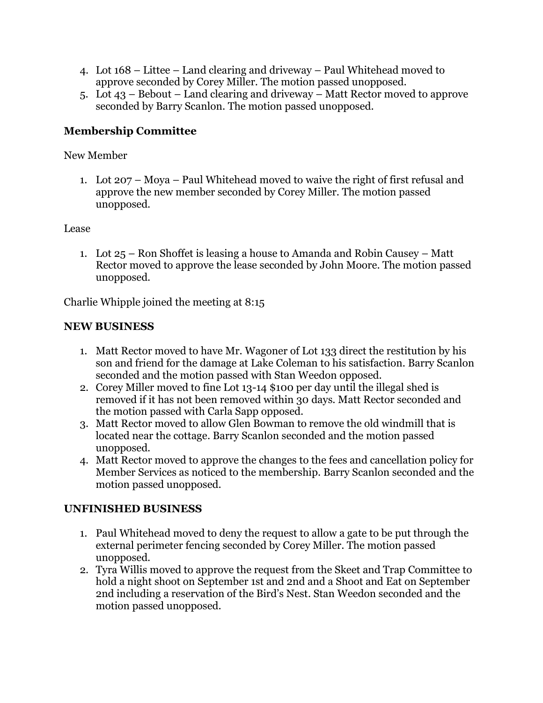- 4. Lot 168 Littee Land clearing and driveway Paul Whitehead moved to approve seconded by Corey Miller. The motion passed unopposed.
- 5. Lot 43 Bebout Land clearing and driveway Matt Rector moved to approve seconded by Barry Scanlon. The motion passed unopposed.

# **Membership Committee**

## New Member

1. Lot 207 – Moya – Paul Whitehead moved to waive the right of first refusal and approve the new member seconded by Corey Miller. The motion passed unopposed.

### Lease

1. Lot 25 – Ron Shoffet is leasing a house to Amanda and Robin Causey – Matt Rector moved to approve the lease seconded by John Moore. The motion passed unopposed.

Charlie Whipple joined the meeting at 8:15

## **NEW BUSINESS**

- 1. Matt Rector moved to have Mr. Wagoner of Lot 133 direct the restitution by his son and friend for the damage at Lake Coleman to his satisfaction. Barry Scanlon seconded and the motion passed with Stan Weedon opposed.
- 2. Corey Miller moved to fine Lot 13-14 \$100 per day until the illegal shed is removed if it has not been removed within 30 days. Matt Rector seconded and the motion passed with Carla Sapp opposed.
- 3. Matt Rector moved to allow Glen Bowman to remove the old windmill that is located near the cottage. Barry Scanlon seconded and the motion passed unopposed.
- 4. Matt Rector moved to approve the changes to the fees and cancellation policy for Member Services as noticed to the membership. Barry Scanlon seconded and the motion passed unopposed.

## **UNFINISHED BUSINESS**

- 1. Paul Whitehead moved to deny the request to allow a gate to be put through the external perimeter fencing seconded by Corey Miller. The motion passed unopposed.
- 2. Tyra Willis moved to approve the request from the Skeet and Trap Committee to hold a night shoot on September 1st and 2nd and a Shoot and Eat on September 2nd including a reservation of the Bird's Nest. Stan Weedon seconded and the motion passed unopposed.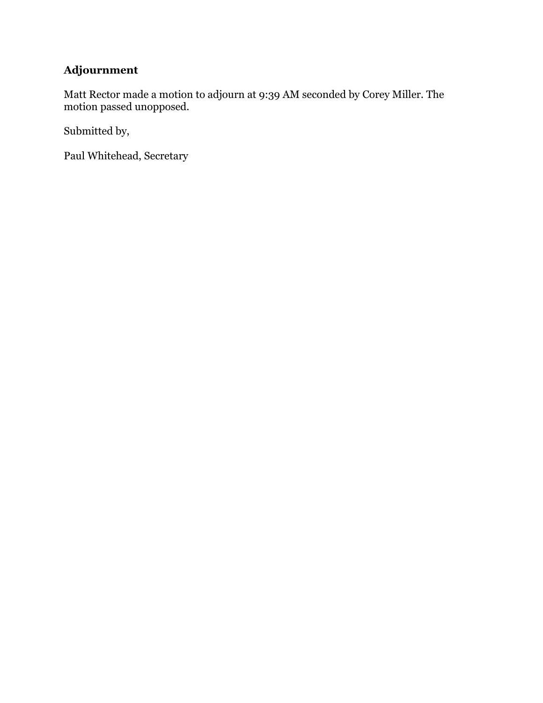# **Adjournment**

Matt Rector made a motion to adjourn at 9:39 AM seconded by Corey Miller. The motion passed unopposed.

Submitted by,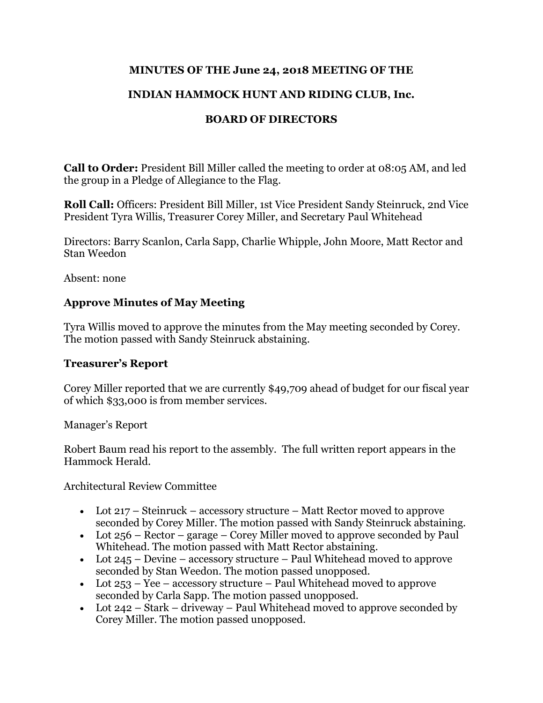## **MINUTES OF THE June 24, 2018 MEETING OF THE**

# **INDIAN HAMMOCK HUNT AND RIDING CLUB, Inc.**

# **BOARD OF DIRECTORS**

**Call to Order:** President Bill Miller called the meeting to order at 08:05 AM, and led the group in a Pledge of Allegiance to the Flag.

**Roll Call:** Officers: President Bill Miller, 1st Vice President Sandy Steinruck, 2nd Vice President Tyra Willis, Treasurer Corey Miller, and Secretary Paul Whitehead

Directors: Barry Scanlon, Carla Sapp, Charlie Whipple, John Moore, Matt Rector and Stan Weedon

Absent: none

## **Approve Minutes of May Meeting**

Tyra Willis moved to approve the minutes from the May meeting seconded by Corey. The motion passed with Sandy Steinruck abstaining.

## **Treasurer's Report**

Corey Miller reported that we are currently \$49,709 ahead of budget for our fiscal year of which \$33,000 is from member services.

Manager's Report

Robert Baum read his report to the assembly. The full written report appears in the Hammock Herald.

Architectural Review Committee

- Lot 217 Steinruck accessory structure Matt Rector moved to approve seconded by Corey Miller. The motion passed with Sandy Steinruck abstaining.
- Lot  $256$  Rector garage Corey Miller moved to approve seconded by Paul Whitehead. The motion passed with Matt Rector abstaining.
- Lot 245 Devine accessory structure Paul Whitehead moved to approve seconded by Stan Weedon. The motion passed unopposed.
- Lot  $253 Yee$  accessory structure Paul Whitehead moved to approve seconded by Carla Sapp. The motion passed unopposed.
- Lot  $242 Stark driveway Paul Whitehead moved to approve seconded by$ Corey Miller. The motion passed unopposed.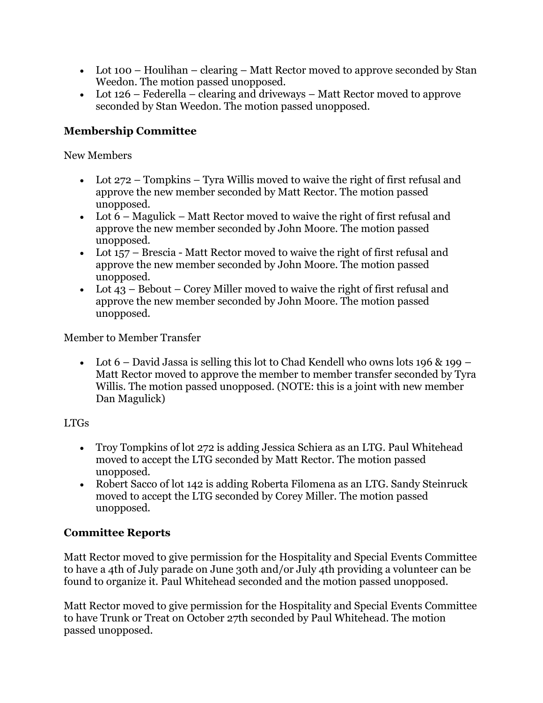- Lot 100 Houlihan clearing Matt Rector moved to approve seconded by Stan Weedon. The motion passed unopposed.
- Lot 126 Federella clearing and driveways Matt Rector moved to approve seconded by Stan Weedon. The motion passed unopposed.

# **Membership Committee**

New Members

- Lot 272 Tompkins Tyra Willis moved to waive the right of first refusal and approve the new member seconded by Matt Rector. The motion passed unopposed.
- Lot 6 Magulick Matt Rector moved to waive the right of first refusal and approve the new member seconded by John Moore. The motion passed unopposed.
- Lot 157 Brescia Matt Rector moved to waive the right of first refusal and approve the new member seconded by John Moore. The motion passed unopposed.
- Lot  $43$  Bebout Corey Miller moved to waive the right of first refusal and approve the new member seconded by John Moore. The motion passed unopposed.

Member to Member Transfer

• Lot  $6$  – David Jassa is selling this lot to Chad Kendell who owns lots 196 & 199 – Matt Rector moved to approve the member to member transfer seconded by Tyra Willis. The motion passed unopposed. (NOTE: this is a joint with new member Dan Magulick)

## LTGs

- Troy Tompkins of lot 272 is adding Jessica Schiera as an LTG. Paul Whitehead moved to accept the LTG seconded by Matt Rector. The motion passed unopposed.
- Robert Sacco of lot 142 is adding Roberta Filomena as an LTG. Sandy Steinruck moved to accept the LTG seconded by Corey Miller. The motion passed unopposed.

# **Committee Reports**

Matt Rector moved to give permission for the Hospitality and Special Events Committee to have a 4th of July parade on June 30th and/or July 4th providing a volunteer can be found to organize it. Paul Whitehead seconded and the motion passed unopposed.

Matt Rector moved to give permission for the Hospitality and Special Events Committee to have Trunk or Treat on October 27th seconded by Paul Whitehead. The motion passed unopposed.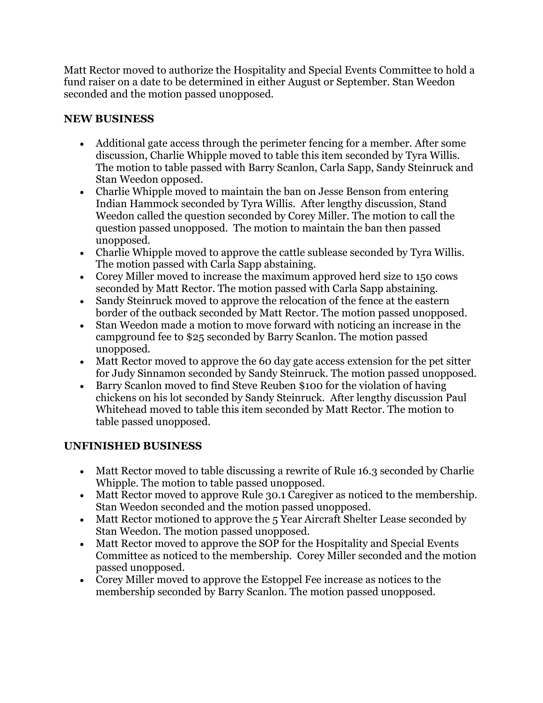Matt Rector moved to authorize the Hospitality and Special Events Committee to hold a fund raiser on a date to be determined in either August or September. Stan Weedon seconded and the motion passed unopposed.

# **NEW BUSINESS**

- Additional gate access through the perimeter fencing for a member. After some discussion, Charlie Whipple moved to table this item seconded by Tyra Willis. The motion to table passed with Barry Scanlon, Carla Sapp, Sandy Steinruck and Stan Weedon opposed.
- Charlie Whipple moved to maintain the ban on Jesse Benson from entering Indian Hammock seconded by Tyra Willis. After lengthy discussion, Stand Weedon called the question seconded by Corey Miller. The motion to call the question passed unopposed. The motion to maintain the ban then passed unopposed.
- Charlie Whipple moved to approve the cattle sublease seconded by Tyra Willis. The motion passed with Carla Sapp abstaining.
- Corey Miller moved to increase the maximum approved herd size to 150 cows seconded by Matt Rector. The motion passed with Carla Sapp abstaining.
- Sandy Steinruck moved to approve the relocation of the fence at the eastern border of the outback seconded by Matt Rector. The motion passed unopposed.
- Stan Weedon made a motion to move forward with noticing an increase in the campground fee to \$25 seconded by Barry Scanlon. The motion passed unopposed.
- Matt Rector moved to approve the 60 day gate access extension for the pet sitter for Judy Sinnamon seconded by Sandy Steinruck. The motion passed unopposed.
- Barry Scanlon moved to find Steve Reuben \$100 for the violation of having chickens on his lot seconded by Sandy Steinruck. After lengthy discussion Paul Whitehead moved to table this item seconded by Matt Rector. The motion to table passed unopposed.

# **UNFINISHED BUSINESS**

- Matt Rector moved to table discussing a rewrite of Rule 16.3 seconded by Charlie Whipple. The motion to table passed unopposed.
- Matt Rector moved to approve Rule 30.1 Caregiver as noticed to the membership. Stan Weedon seconded and the motion passed unopposed.
- Matt Rector motioned to approve the 5 Year Aircraft Shelter Lease seconded by Stan Weedon. The motion passed unopposed.
- Matt Rector moved to approve the SOP for the Hospitality and Special Events Committee as noticed to the membership. Corey Miller seconded and the motion passed unopposed.
- Corey Miller moved to approve the Estoppel Fee increase as notices to the membership seconded by Barry Scanlon. The motion passed unopposed.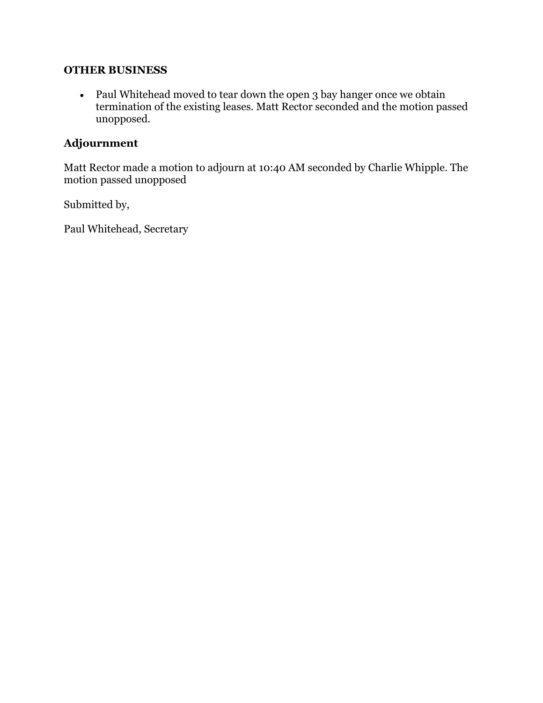#### **OTHER BUSINESS**

• Paul Whitehead moved to tear down the open 3 bay hanger once we obtain termination of the existing leases. Matt Rector seconded and the motion passed unopposed.

# **Adjournment**

Matt Rector made a motion to adjourn at 10:40 AM seconded by Charlie Whipple. The motion passed unopposed

Submitted by,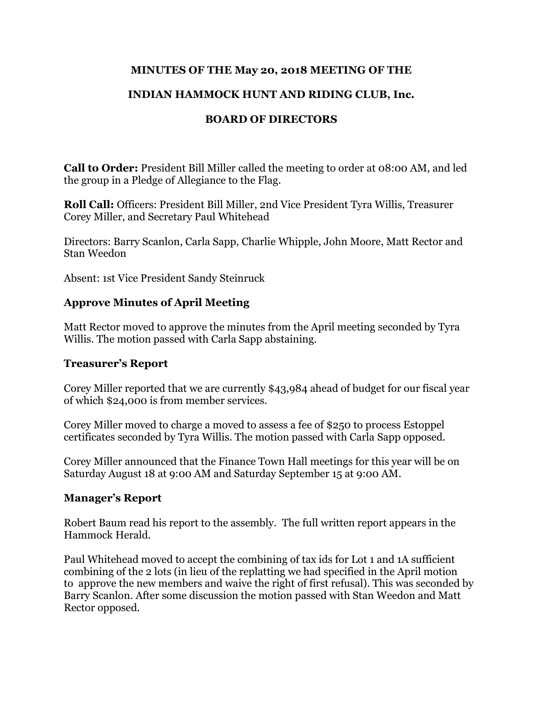### **MINUTES OF THE May 20, 2018 MEETING OF THE**

## **INDIAN HAMMOCK HUNT AND RIDING CLUB, Inc.**

## **BOARD OF DIRECTORS**

**Call to Order:** President Bill Miller called the meeting to order at 08:00 AM, and led the group in a Pledge of Allegiance to the Flag.

**Roll Call:** Officers: President Bill Miller, 2nd Vice President Tyra Willis, Treasurer Corey Miller, and Secretary Paul Whitehead

Directors: Barry Scanlon, Carla Sapp, Charlie Whipple, John Moore, Matt Rector and Stan Weedon

Absent: 1st Vice President Sandy Steinruck

### **Approve Minutes of April Meeting**

Matt Rector moved to approve the minutes from the April meeting seconded by Tyra Willis. The motion passed with Carla Sapp abstaining.

#### **Treasurer's Report**

Corey Miller reported that we are currently \$43,984 ahead of budget for our fiscal year of which \$24,000 is from member services.

Corey Miller moved to charge a moved to assess a fee of \$250 to process Estoppel certificates seconded by Tyra Willis. The motion passed with Carla Sapp opposed.

Corey Miller announced that the Finance Town Hall meetings for this year will be on Saturday August 18 at 9:00 AM and Saturday September 15 at 9:00 AM.

#### **Manager's Report**

Robert Baum read his report to the assembly. The full written report appears in the Hammock Herald.

Paul Whitehead moved to accept the combining of tax ids for Lot 1 and 1A sufficient combining of the 2 lots (in lieu of the replatting we had specified in the April motion to approve the new members and waive the right of first refusal). This was seconded by Barry Scanlon. After some discussion the motion passed with Stan Weedon and Matt Rector opposed.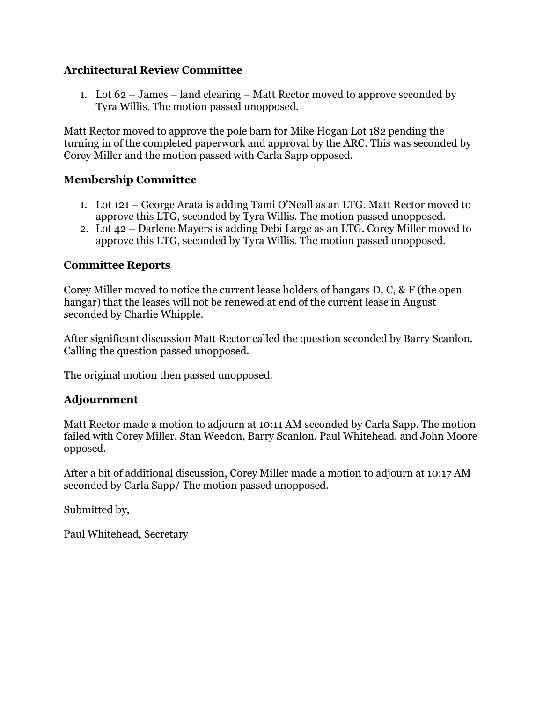## **Architectural Review Committee**

1. Lot 62 – James – land clearing – Matt Rector moved to approve seconded by Tyra Willis. The motion passed unopposed.

Matt Rector moved to approve the pole barn for Mike Hogan Lot 182 pending the turning in of the completed paperwork and approval by the ARC. This was seconded by Corey Miller and the motion passed with Carla Sapp opposed.

## **Membership Committee**

- 1. Lot 121 George Arata is adding Tami O'Neall as an LTG. Matt Rector moved to approve this LTG, seconded by Tyra Willis. The motion passed unopposed.
- 2. Lot 42 Darlene Mayers is adding Debi Large as an LTG. Corey Miller moved to approve this LTG, seconded by Tyra Willis. The motion passed unopposed.

### **Committee Reports**

Corey Miller moved to notice the current lease holders of hangars D, C, & F (the open hangar) that the leases will not be renewed at end of the current lease in August seconded by Charlie Whipple.

After significant discussion Matt Rector called the question seconded by Barry Scanlon. Calling the question passed unopposed.

The original motion then passed unopposed.

## **Adjournment**

Matt Rector made a motion to adjourn at 10:11 AM seconded by Carla Sapp. The motion failed with Corey Miller, Stan Weedon, Barry Scanlon, Paul Whitehead, and John Moore opposed.

After a bit of additional discussion, Corey Miller made a motion to adjourn at 10:17 AM seconded by Carla Sapp/ The motion passed unopposed.

Submitted by,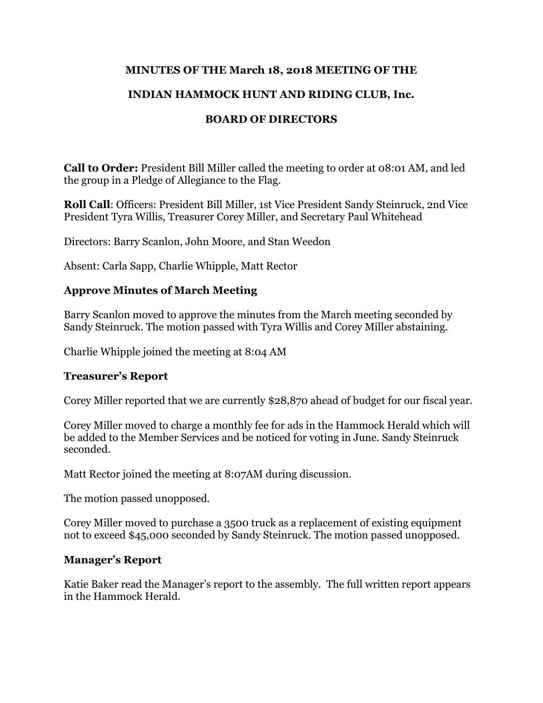## **MINUTES OF THE March 18, 2018 MEETING OF THE**

## **INDIAN HAMMOCK HUNT AND RIDING CLUB, Inc.**

## **BOARD OF DIRECTORS**

**Call to Order:** President Bill Miller called the meeting to order at 08:01 AM, and led the group in a Pledge of Allegiance to the Flag.

**Roll Call**: Officers: President Bill Miller, 1st Vice President Sandy Steinruck, 2nd Vice President Tyra Willis, Treasurer Corey Miller, and Secretary Paul Whitehead

Directors: Barry Scanlon, John Moore, and Stan Weedon

Absent: Carla Sapp, Charlie Whipple, Matt Rector

### **Approve Minutes of March Meeting**

Barry Scanlon moved to approve the minutes from the March meeting seconded by Sandy Steinruck. The motion passed with Tyra Willis and Corey Miller abstaining.

Charlie Whipple joined the meeting at 8:04 AM

## **Treasurer's Report**

Corey Miller reported that we are currently \$28,870 ahead of budget for our fiscal year.

Corey Miller moved to charge a monthly fee for ads in the Hammock Herald which will be added to the Member Services and be noticed for voting in June. Sandy Steinruck seconded.

Matt Rector joined the meeting at 8:07AM during discussion.

The motion passed unopposed.

Corey Miller moved to purchase a 3500 truck as a replacement of existing equipment not to exceed \$45,000 seconded by Sandy Steinruck. The motion passed unopposed.

#### **Manager's Report**

Katie Baker read the Manager's report to the assembly. The full written report appears in the Hammock Herald.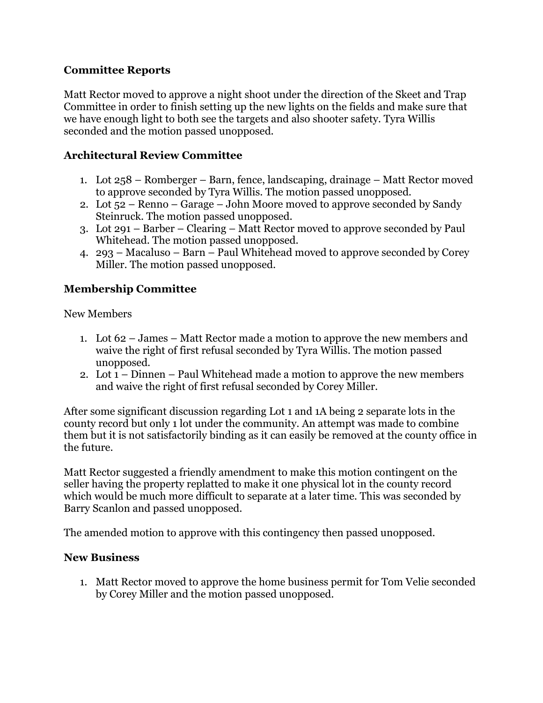## **Committee Reports**

Matt Rector moved to approve a night shoot under the direction of the Skeet and Trap Committee in order to finish setting up the new lights on the fields and make sure that we have enough light to both see the targets and also shooter safety. Tyra Willis seconded and the motion passed unopposed.

## **Architectural Review Committee**

- 1. Lot 258 Romberger Barn, fence, landscaping, drainage Matt Rector moved to approve seconded by Tyra Willis. The motion passed unopposed.
- 2. Lot 52 Renno Garage John Moore moved to approve seconded by Sandy Steinruck. The motion passed unopposed.
- 3. Lot 291 Barber Clearing Matt Rector moved to approve seconded by Paul Whitehead. The motion passed unopposed.
- 4. 293 Macaluso Barn Paul Whitehead moved to approve seconded by Corey Miller. The motion passed unopposed.

## **Membership Committee**

New Members

- 1. Lot 62 James Matt Rector made a motion to approve the new members and waive the right of first refusal seconded by Tyra Willis. The motion passed unopposed.
- 2. Lot 1 Dinnen Paul Whitehead made a motion to approve the new members and waive the right of first refusal seconded by Corey Miller.

After some significant discussion regarding Lot 1 and 1A being 2 separate lots in the county record but only 1 lot under the community. An attempt was made to combine them but it is not satisfactorily binding as it can easily be removed at the county office in the future.

Matt Rector suggested a friendly amendment to make this motion contingent on the seller having the property replatted to make it one physical lot in the county record which would be much more difficult to separate at a later time. This was seconded by Barry Scanlon and passed unopposed.

The amended motion to approve with this contingency then passed unopposed.

## **New Business**

1. Matt Rector moved to approve the home business permit for Tom Velie seconded by Corey Miller and the motion passed unopposed.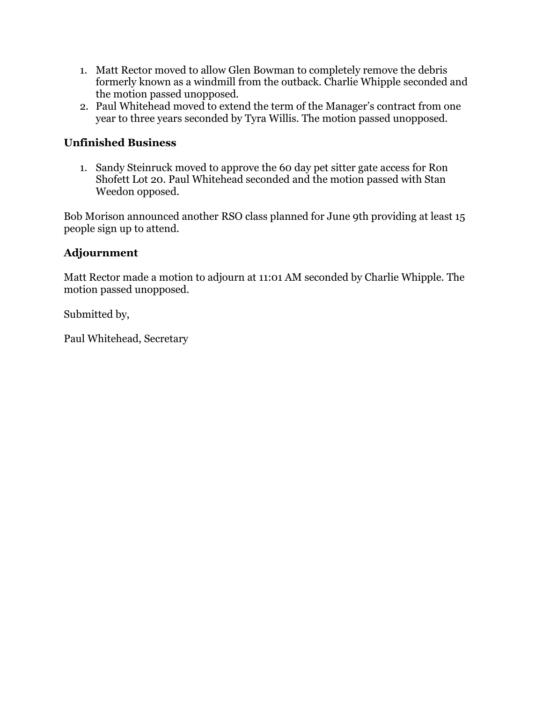- 1. Matt Rector moved to allow Glen Bowman to completely remove the debris formerly known as a windmill from the outback. Charlie Whipple seconded and the motion passed unopposed.
- 2. Paul Whitehead moved to extend the term of the Manager's contract from one year to three years seconded by Tyra Willis. The motion passed unopposed.

## **Unfinished Business**

1. Sandy Steinruck moved to approve the 60 day pet sitter gate access for Ron Shofett Lot 20. Paul Whitehead seconded and the motion passed with Stan Weedon opposed.

Bob Morison announced another RSO class planned for June 9th providing at least 15 people sign up to attend.

## **Adjournment**

Matt Rector made a motion to adjourn at 11:01 AM seconded by Charlie Whipple. The motion passed unopposed.

Submitted by,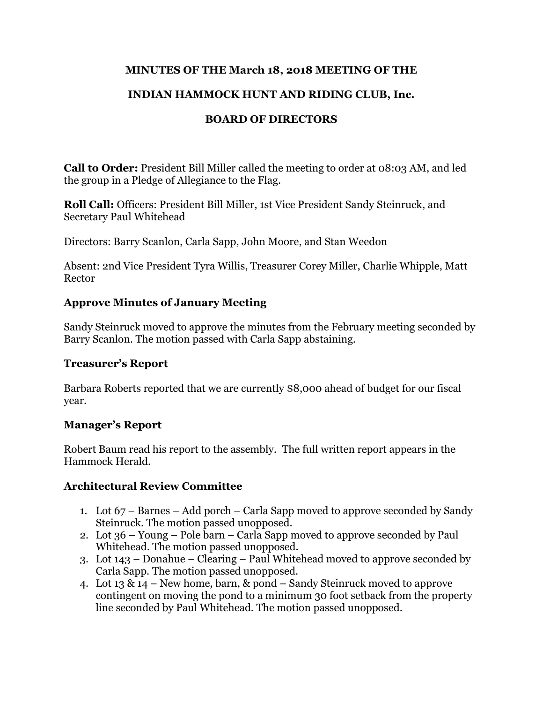## **MINUTES OF THE March 18, 2018 MEETING OF THE**

## **INDIAN HAMMOCK HUNT AND RIDING CLUB, Inc.**

## **BOARD OF DIRECTORS**

**Call to Order:** President Bill Miller called the meeting to order at 08:03 AM, and led the group in a Pledge of Allegiance to the Flag.

**Roll Call:** Officers: President Bill Miller, 1st Vice President Sandy Steinruck, and Secretary Paul Whitehead

Directors: Barry Scanlon, Carla Sapp, John Moore, and Stan Weedon

Absent: 2nd Vice President Tyra Willis, Treasurer Corey Miller, Charlie Whipple, Matt Rector

## **Approve Minutes of January Meeting**

Sandy Steinruck moved to approve the minutes from the February meeting seconded by Barry Scanlon. The motion passed with Carla Sapp abstaining.

#### **Treasurer's Report**

Barbara Roberts reported that we are currently \$8,000 ahead of budget for our fiscal year.

## **Manager's Report**

Robert Baum read his report to the assembly. The full written report appears in the Hammock Herald.

## **Architectural Review Committee**

- 1. Lot 67 Barnes Add porch Carla Sapp moved to approve seconded by Sandy Steinruck. The motion passed unopposed.
- 2. Lot 36 Young Pole barn Carla Sapp moved to approve seconded by Paul Whitehead. The motion passed unopposed.
- 3. Lot 143 Donahue Clearing Paul Whitehead moved to approve seconded by Carla Sapp. The motion passed unopposed.
- 4. Lot 13 & 14 New home, barn, & pond Sandy Steinruck moved to approve contingent on moving the pond to a minimum 30 foot setback from the property line seconded by Paul Whitehead. The motion passed unopposed.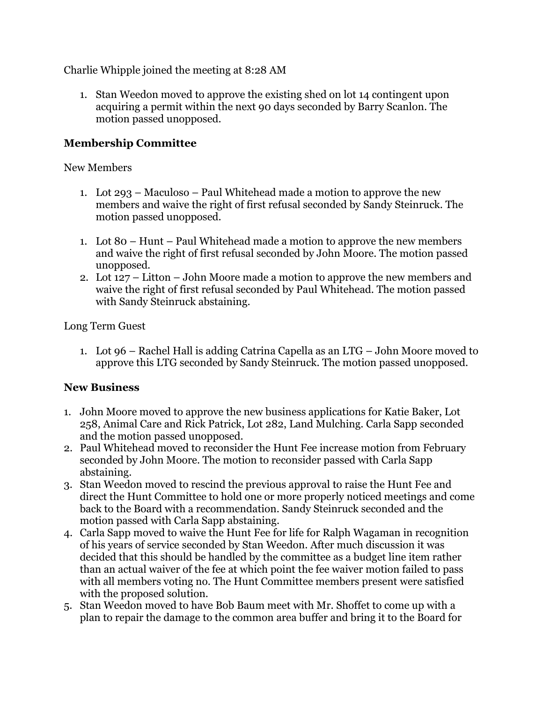Charlie Whipple joined the meeting at 8:28 AM

1. Stan Weedon moved to approve the existing shed on lot 14 contingent upon acquiring a permit within the next 90 days seconded by Barry Scanlon. The motion passed unopposed.

## **Membership Committee**

### New Members

- 1. Lot 293 Maculoso Paul Whitehead made a motion to approve the new members and waive the right of first refusal seconded by Sandy Steinruck. The motion passed unopposed.
- 1. Lot 80 Hunt Paul Whitehead made a motion to approve the new members and waive the right of first refusal seconded by John Moore. The motion passed unopposed.
- 2. Lot 127 Litton John Moore made a motion to approve the new members and waive the right of first refusal seconded by Paul Whitehead. The motion passed with Sandy Steinruck abstaining.

Long Term Guest

1. Lot 96 – Rachel Hall is adding Catrina Capella as an LTG – John Moore moved to approve this LTG seconded by Sandy Steinruck. The motion passed unopposed.

## **New Business**

- 1. John Moore moved to approve the new business applications for Katie Baker, Lot 258, Animal Care and Rick Patrick, Lot 282, Land Mulching. Carla Sapp seconded and the motion passed unopposed.
- 2. Paul Whitehead moved to reconsider the Hunt Fee increase motion from February seconded by John Moore. The motion to reconsider passed with Carla Sapp abstaining.
- 3. Stan Weedon moved to rescind the previous approval to raise the Hunt Fee and direct the Hunt Committee to hold one or more properly noticed meetings and come back to the Board with a recommendation. Sandy Steinruck seconded and the motion passed with Carla Sapp abstaining.
- 4. Carla Sapp moved to waive the Hunt Fee for life for Ralph Wagaman in recognition of his years of service seconded by Stan Weedon. After much discussion it was decided that this should be handled by the committee as a budget line item rather than an actual waiver of the fee at which point the fee waiver motion failed to pass with all members voting no. The Hunt Committee members present were satisfied with the proposed solution.
- 5. Stan Weedon moved to have Bob Baum meet with Mr. Shoffet to come up with a plan to repair the damage to the common area buffer and bring it to the Board for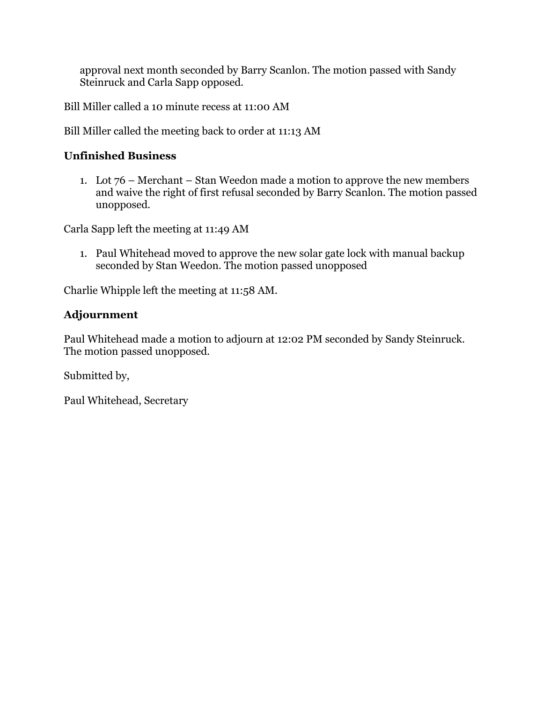approval next month seconded by Barry Scanlon. The motion passed with Sandy Steinruck and Carla Sapp opposed.

Bill Miller called a 10 minute recess at 11:00 AM

Bill Miller called the meeting back to order at 11:13 AM

# **Unfinished Business**

1. Lot 76 – Merchant – Stan Weedon made a motion to approve the new members and waive the right of first refusal seconded by Barry Scanlon. The motion passed unopposed.

Carla Sapp left the meeting at 11:49 AM

1. Paul Whitehead moved to approve the new solar gate lock with manual backup seconded by Stan Weedon. The motion passed unopposed

Charlie Whipple left the meeting at 11:58 AM.

# **Adjournment**

Paul Whitehead made a motion to adjourn at 12:02 PM seconded by Sandy Steinruck. The motion passed unopposed.

Submitted by,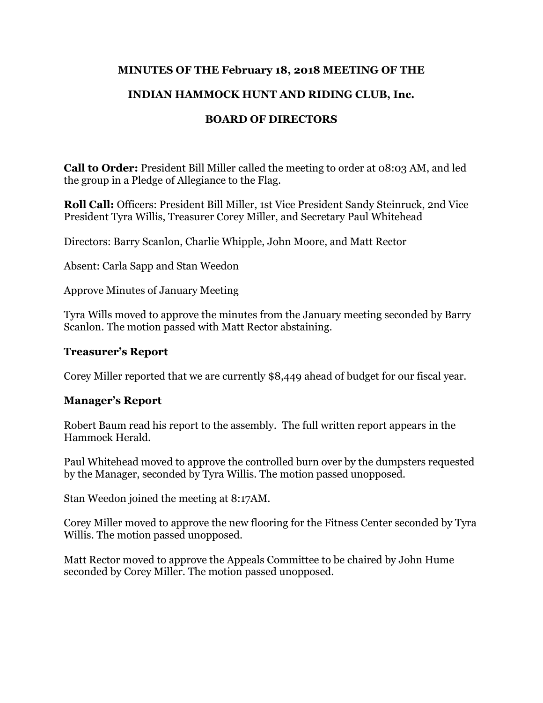## **MINUTES OF THE February 18, 2018 MEETING OF THE**

## **INDIAN HAMMOCK HUNT AND RIDING CLUB, Inc.**

## **BOARD OF DIRECTORS**

**Call to Order:** President Bill Miller called the meeting to order at 08:03 AM, and led the group in a Pledge of Allegiance to the Flag.

**Roll Call:** Officers: President Bill Miller, 1st Vice President Sandy Steinruck, 2nd Vice President Tyra Willis, Treasurer Corey Miller, and Secretary Paul Whitehead

Directors: Barry Scanlon, Charlie Whipple, John Moore, and Matt Rector

Absent: Carla Sapp and Stan Weedon

Approve Minutes of January Meeting

Tyra Wills moved to approve the minutes from the January meeting seconded by Barry Scanlon. The motion passed with Matt Rector abstaining.

### **Treasurer's Report**

Corey Miller reported that we are currently \$8,449 ahead of budget for our fiscal year.

#### **Manager's Report**

Robert Baum read his report to the assembly. The full written report appears in the Hammock Herald.

Paul Whitehead moved to approve the controlled burn over by the dumpsters requested by the Manager, seconded by Tyra Willis. The motion passed unopposed.

Stan Weedon joined the meeting at 8:17AM.

Corey Miller moved to approve the new flooring for the Fitness Center seconded by Tyra Willis. The motion passed unopposed.

Matt Rector moved to approve the Appeals Committee to be chaired by John Hume seconded by Corey Miller. The motion passed unopposed.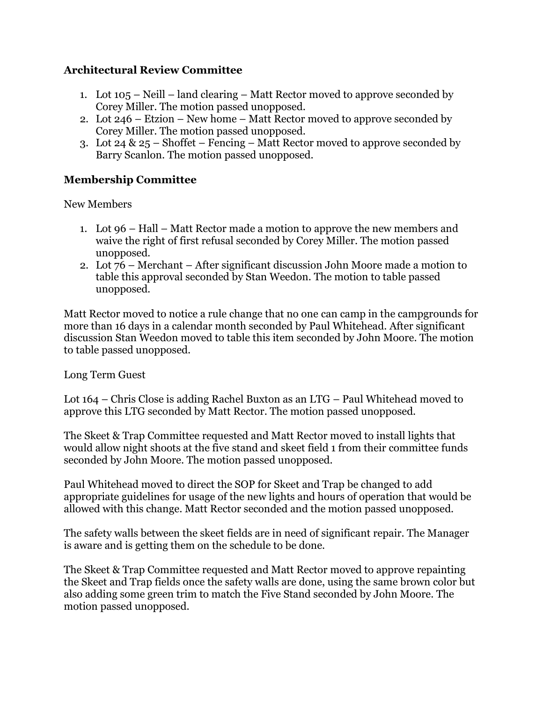## **Architectural Review Committee**

- 1. Lot 105 Neill land clearing Matt Rector moved to approve seconded by Corey Miller. The motion passed unopposed.
- 2. Lot 246 Etzion New home Matt Rector moved to approve seconded by Corey Miller. The motion passed unopposed.
- 3. Lot 24 & 25 Shoffet Fencing Matt Rector moved to approve seconded by Barry Scanlon. The motion passed unopposed.

## **Membership Committee**

New Members

- 1. Lot 96 Hall Matt Rector made a motion to approve the new members and waive the right of first refusal seconded by Corey Miller. The motion passed unopposed.
- 2. Lot 76 Merchant After significant discussion John Moore made a motion to table this approval seconded by Stan Weedon. The motion to table passed unopposed.

Matt Rector moved to notice a rule change that no one can camp in the campgrounds for more than 16 days in a calendar month seconded by Paul Whitehead. After significant discussion Stan Weedon moved to table this item seconded by John Moore. The motion to table passed unopposed.

Long Term Guest

Lot 164 – Chris Close is adding Rachel Buxton as an LTG – Paul Whitehead moved to approve this LTG seconded by Matt Rector. The motion passed unopposed.

The Skeet & Trap Committee requested and Matt Rector moved to install lights that would allow night shoots at the five stand and skeet field 1 from their committee funds seconded by John Moore. The motion passed unopposed.

Paul Whitehead moved to direct the SOP for Skeet and Trap be changed to add appropriate guidelines for usage of the new lights and hours of operation that would be allowed with this change. Matt Rector seconded and the motion passed unopposed.

The safety walls between the skeet fields are in need of significant repair. The Manager is aware and is getting them on the schedule to be done.

The Skeet & Trap Committee requested and Matt Rector moved to approve repainting the Skeet and Trap fields once the safety walls are done, using the same brown color but also adding some green trim to match the Five Stand seconded by John Moore. The motion passed unopposed.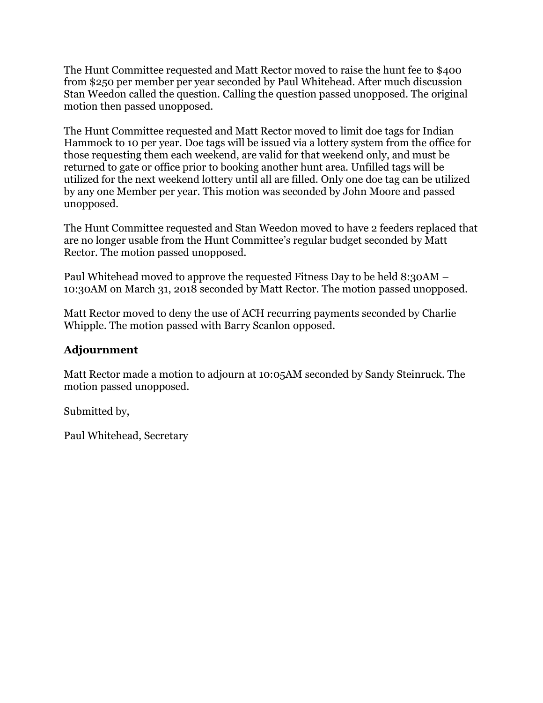The Hunt Committee requested and Matt Rector moved to raise the hunt fee to \$400 from \$250 per member per year seconded by Paul Whitehead. After much discussion Stan Weedon called the question. Calling the question passed unopposed. The original motion then passed unopposed.

The Hunt Committee requested and Matt Rector moved to limit doe tags for Indian Hammock to 10 per year. Doe tags will be issued via a lottery system from the office for those requesting them each weekend, are valid for that weekend only, and must be returned to gate or office prior to booking another hunt area. Unfilled tags will be utilized for the next weekend lottery until all are filled. Only one doe tag can be utilized by any one Member per year. This motion was seconded by John Moore and passed unopposed.

The Hunt Committee requested and Stan Weedon moved to have 2 feeders replaced that are no longer usable from the Hunt Committee's regular budget seconded by Matt Rector. The motion passed unopposed.

Paul Whitehead moved to approve the requested Fitness Day to be held 8:30AM – 10:30AM on March 31, 2018 seconded by Matt Rector. The motion passed unopposed.

Matt Rector moved to deny the use of ACH recurring payments seconded by Charlie Whipple. The motion passed with Barry Scanlon opposed.

## **Adjournment**

Matt Rector made a motion to adjourn at 10:05AM seconded by Sandy Steinruck. The motion passed unopposed.

Submitted by,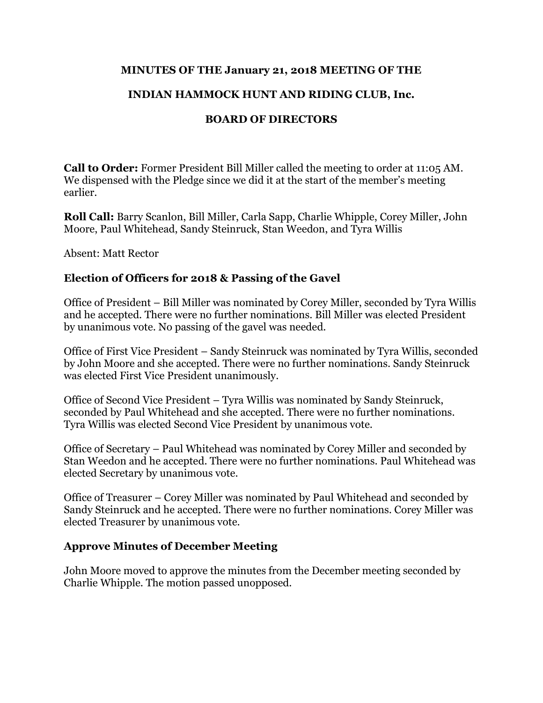### **MINUTES OF THE January 21, 2018 MEETING OF THE**

## **INDIAN HAMMOCK HUNT AND RIDING CLUB, Inc.**

## **BOARD OF DIRECTORS**

**Call to Order:** Former President Bill Miller called the meeting to order at 11:05 AM. We dispensed with the Pledge since we did it at the start of the member's meeting earlier.

**Roll Call:** Barry Scanlon, Bill Miller, Carla Sapp, Charlie Whipple, Corey Miller, John Moore, Paul Whitehead, Sandy Steinruck, Stan Weedon, and Tyra Willis

Absent: Matt Rector

### **Election of Officers for 2018 & Passing of the Gavel**

Office of President – Bill Miller was nominated by Corey Miller, seconded by Tyra Willis and he accepted. There were no further nominations. Bill Miller was elected President by unanimous vote. No passing of the gavel was needed.

Office of First Vice President – Sandy Steinruck was nominated by Tyra Willis, seconded by John Moore and she accepted. There were no further nominations. Sandy Steinruck was elected First Vice President unanimously.

Office of Second Vice President – Tyra Willis was nominated by Sandy Steinruck, seconded by Paul Whitehead and she accepted. There were no further nominations. Tyra Willis was elected Second Vice President by unanimous vote.

Office of Secretary – Paul Whitehead was nominated by Corey Miller and seconded by Stan Weedon and he accepted. There were no further nominations. Paul Whitehead was elected Secretary by unanimous vote.

Office of Treasurer – Corey Miller was nominated by Paul Whitehead and seconded by Sandy Steinruck and he accepted. There were no further nominations. Corey Miller was elected Treasurer by unanimous vote.

#### **Approve Minutes of December Meeting**

John Moore moved to approve the minutes from the December meeting seconded by Charlie Whipple. The motion passed unopposed.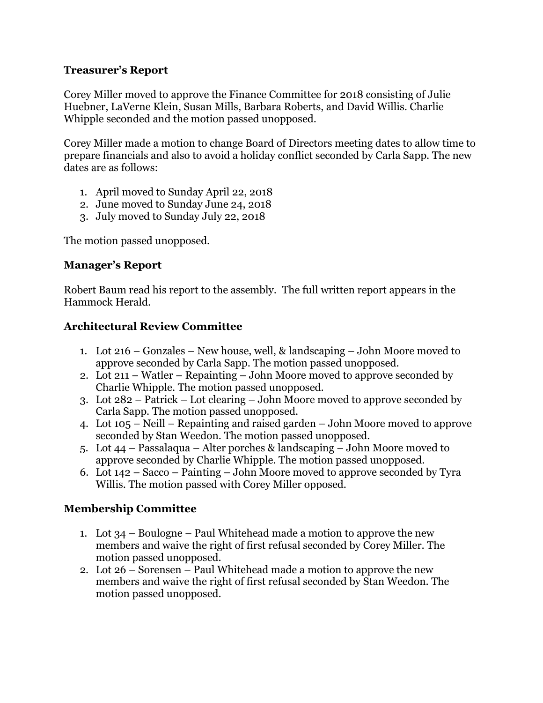### **Treasurer's Report**

Corey Miller moved to approve the Finance Committee for 2018 consisting of Julie Huebner, LaVerne Klein, Susan Mills, Barbara Roberts, and David Willis. Charlie Whipple seconded and the motion passed unopposed.

Corey Miller made a motion to change Board of Directors meeting dates to allow time to prepare financials and also to avoid a holiday conflict seconded by Carla Sapp. The new dates are as follows:

- 1. April moved to Sunday April 22, 2018
- 2. June moved to Sunday June 24, 2018
- 3. July moved to Sunday July 22, 2018

The motion passed unopposed.

## **Manager's Report**

Robert Baum read his report to the assembly. The full written report appears in the Hammock Herald.

## **Architectural Review Committee**

- 1. Lot 216 Gonzales New house, well, & landscaping John Moore moved to approve seconded by Carla Sapp. The motion passed unopposed.
- 2. Lot 211 Watler Repainting John Moore moved to approve seconded by Charlie Whipple. The motion passed unopposed.
- 3. Lot 282 Patrick Lot clearing John Moore moved to approve seconded by Carla Sapp. The motion passed unopposed.
- 4. Lot 105 Neill Repainting and raised garden John Moore moved to approve seconded by Stan Weedon. The motion passed unopposed.
- 5. Lot 44 Passalaqua Alter porches & landscaping John Moore moved to approve seconded by Charlie Whipple. The motion passed unopposed.
- 6. Lot 142 Sacco Painting John Moore moved to approve seconded by Tyra Willis. The motion passed with Corey Miller opposed.

## **Membership Committee**

- 1. Lot 34 Boulogne Paul Whitehead made a motion to approve the new members and waive the right of first refusal seconded by Corey Miller. The motion passed unopposed.
- 2. Lot 26 Sorensen Paul Whitehead made a motion to approve the new members and waive the right of first refusal seconded by Stan Weedon. The motion passed unopposed.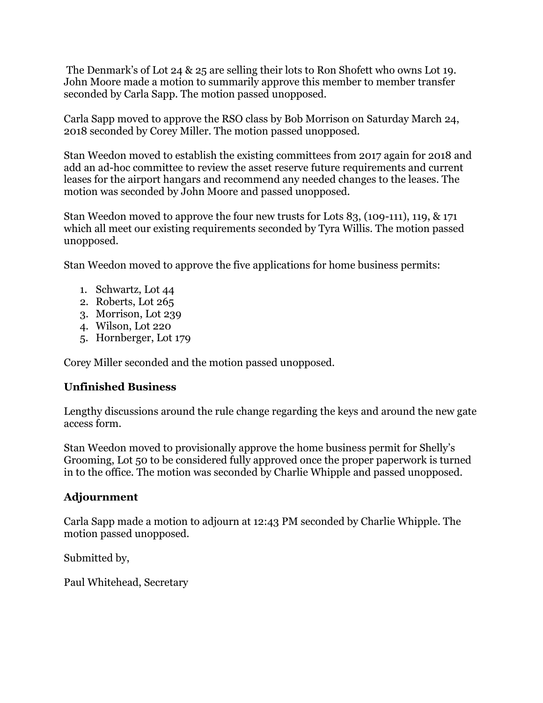The Denmark's of Lot 24 & 25 are selling their lots to Ron Shofett who owns Lot 19. John Moore made a motion to summarily approve this member to member transfer seconded by Carla Sapp. The motion passed unopposed.

Carla Sapp moved to approve the RSO class by Bob Morrison on Saturday March 24, 2018 seconded by Corey Miller. The motion passed unopposed.

Stan Weedon moved to establish the existing committees from 2017 again for 2018 and add an ad-hoc committee to review the asset reserve future requirements and current leases for the airport hangars and recommend any needed changes to the leases. The motion was seconded by John Moore and passed unopposed.

Stan Weedon moved to approve the four new trusts for Lots 83, (109-111), 119, & 171 which all meet our existing requirements seconded by Tyra Willis. The motion passed unopposed.

Stan Weedon moved to approve the five applications for home business permits:

- 1. Schwartz, Lot 44
- 2. Roberts, Lot 265
- 3. Morrison, Lot 239
- 4. Wilson, Lot 220
- 5. Hornberger, Lot 179

Corey Miller seconded and the motion passed unopposed.

## **Unfinished Business**

Lengthy discussions around the rule change regarding the keys and around the new gate access form.

Stan Weedon moved to provisionally approve the home business permit for Shelly's Grooming, Lot 50 to be considered fully approved once the proper paperwork is turned in to the office. The motion was seconded by Charlie Whipple and passed unopposed.

## **Adjournment**

Carla Sapp made a motion to adjourn at 12:43 PM seconded by Charlie Whipple. The motion passed unopposed.

Submitted by,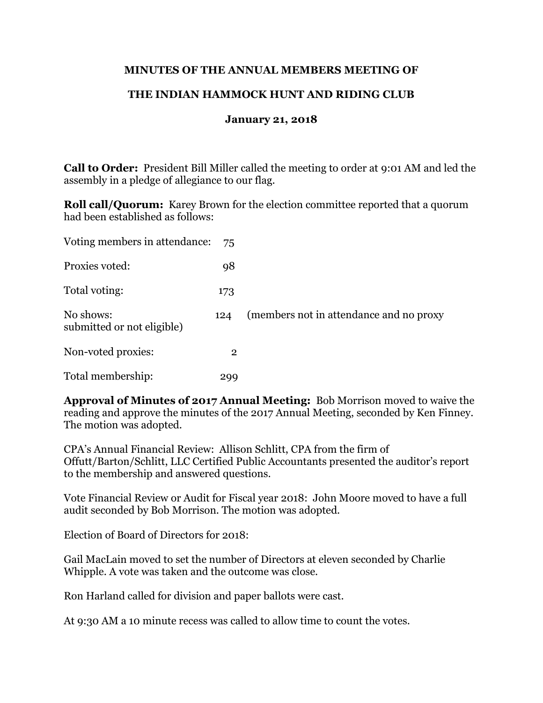### **MINUTES OF THE ANNUAL MEMBERS MEETING OF**

## **THE INDIAN HAMMOCK HUNT AND RIDING CLUB**

#### **January 21, 2018**

**Call to Order:** President Bill Miller called the meeting to order at 9:01 AM and led the assembly in a pledge of allegiance to our flag.

**Roll call/Quorum:** Karey Brown for the election committee reported that a quorum had been established as follows:

| Voting members in attendance:           | 75           |                                         |
|-----------------------------------------|--------------|-----------------------------------------|
| Proxies voted:                          | 98           |                                         |
| Total voting:                           | 173          |                                         |
| No shows:<br>submitted or not eligible) | 124          | (members not in attendance and no proxy |
| Non-voted proxies:                      | $\mathbf{2}$ |                                         |
| Total membership:                       | 299          |                                         |

**Approval of Minutes of 2017 Annual Meeting:** Bob Morrison moved to waive the reading and approve the minutes of the 2017 Annual Meeting, seconded by Ken Finney. The motion was adopted.

CPA's Annual Financial Review: Allison Schlitt, CPA from the firm of Offutt/Barton/Schlitt, LLC Certified Public Accountants presented the auditor's report to the membership and answered questions.

Vote Financial Review or Audit for Fiscal year 2018: John Moore moved to have a full audit seconded by Bob Morrison. The motion was adopted.

Election of Board of Directors for 2018:

Gail MacLain moved to set the number of Directors at eleven seconded by Charlie Whipple. A vote was taken and the outcome was close.

Ron Harland called for division and paper ballots were cast.

At 9:30 AM a 10 minute recess was called to allow time to count the votes.